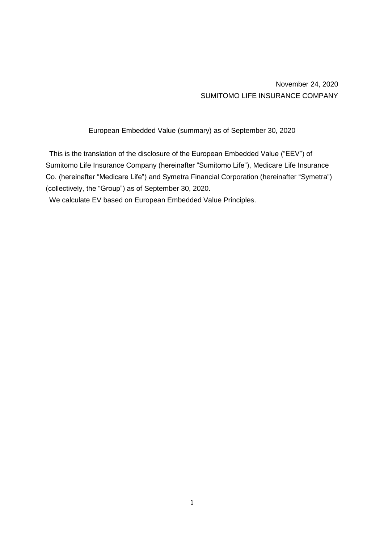November 24, 2020 SUMITOMO LIFE INSURANCE COMPANY

European Embedded Value (summary) as of September 30, 2020

This is the translation of the disclosure of the European Embedded Value ("EEV") of Sumitomo Life Insurance Company (hereinafter "Sumitomo Life"), Medicare Life Insurance Co. (hereinafter "Medicare Life") and Symetra Financial Corporation (hereinafter "Symetra") (collectively, the "Group") as of September 30, 2020.

We calculate EV based on European Embedded Value Principles.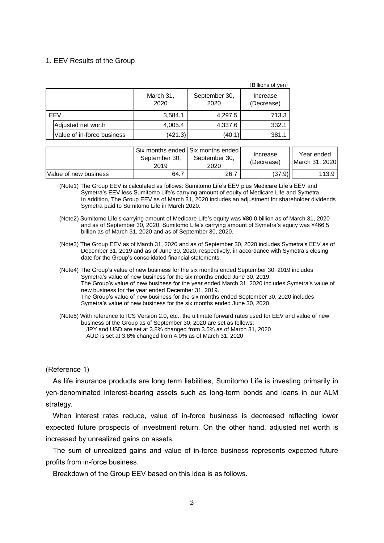#### 1. EEV Results of the Group

|     |                            |                   |                       | (Billions of yen)      |
|-----|----------------------------|-------------------|-----------------------|------------------------|
|     |                            | March 31,<br>2020 | September 30,<br>2020 | Increase<br>(Decrease) |
| EEV |                            | 3,584.1           | 4,297.5               | 713.3                  |
|     | Adjusted net worth         | 4,005.4           | 4,337.6               | 332.1                  |
|     | Value of in-force business | (421.3)           | (40.1)                | 381.1                  |

|                       | September 30.<br>2019 | Six months ended Six months ended<br>September 30.<br>2020 | Increase<br>(Decrease) | Year ended<br><b>II March 31, 2020</b> |
|-----------------------|-----------------------|------------------------------------------------------------|------------------------|----------------------------------------|
| Value of new business | 64.7                  | 26.7                                                       | (37.9)                 | 113.9                                  |

(Note1) The Group EEV is calculated as follows: Sumitomo Life's EEV plus Medicare Life's EEV and Symetra's EEV less Sumitomo Life's carrying amount of equity of Medicare Life and Symetra. In addition, The Group EEV as of March 31, 2020 includes an adjustment for shareholder dividends Symetra paid to Sumitomo Life in March 2020.

- (Note2) Sumitomo Life's carrying amount of Medicare Life's equity was ¥80.0 billion as of March 31, 2020 and as of September 30, 2020. Sumitomo Life's carrying amount of Symetra's equity was ¥466.5 billion as of March 31, 2020 and as of September 30, 2020.
- (Note3) The Group EEV as of March 31, 2020 and as of September 30, 2020 includes Symetra's EEV as of December 31, 2019 and as of June 30, 2020, respectively, in accordance with Symetra's closing date for the Group's consolidated financial statements.
- (Note4) The Group's value of new business for the six months ended September 30, 2019 includes Symetra's value of new business for the six months ended June 30, 2019. The Group's value of new business for the year ended March 31, 2020 includes Symetra's value of new business for the year ended December 31, 2019. The Group's value of new business for the six months ended September 30, 2020 includes Symetra's value of new business for the six months ended June 30, 2020.
- (Note5) With reference to ICS Version 2.0, etc., the ultimate forward rates used for EEV and value of new business of the Group as of September 30, 2020 are set as follows: JPY and USD are set at 3.8% changed from 3.5% as of March 31, 2020 AUD is set at 3.8% changed from 4.0% as of March 31, 2020

#### (Reference 1)

As life insurance products are long term liabilities, Sumitomo Life is investing primarily in yen-denominated interest-bearing assets such as long-term bonds and loans in our ALM strategy.

When interest rates reduce, value of in-force business is decreased reflecting lower expected future prospects of investment return. On the other hand, adjusted net worth is increased by unrealized gains on assets.

The sum of unrealized gains and value of in-force business represents expected future profits from in-force business.

Breakdown of the Group EEV based on this idea is as follows.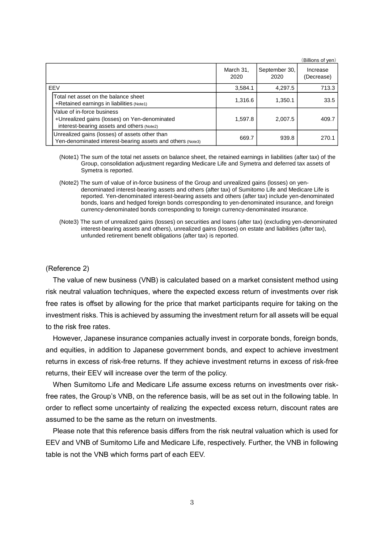|                                                                                                                           |                   |                       | (Billions of yen)      |
|---------------------------------------------------------------------------------------------------------------------------|-------------------|-----------------------|------------------------|
|                                                                                                                           | March 31,<br>2020 | September 30,<br>2020 | Increase<br>(Decrease) |
| EEV                                                                                                                       | 3,584.1           | 4,297.5               | 713.3                  |
| Total net asset on the balance sheet<br>+Retained earnings in liabilities (Note1)                                         | 1,316.6           | 1,350.1               | 33.5                   |
| Value of in-force business<br>+Unrealized gains (losses) on Yen-denominated<br>interest-bearing assets and others (Note2) | 1,597.8           | 2,007.5               | 409.7                  |
| Unrealized gains (losses) of assets other than<br>Yen-denominated interest-bearing assets and others (Note3)              | 669.7             | 939.8                 | 270.1                  |

- (Note1) The sum of the total net assets on balance sheet, the retained earnings in liabilities (after tax) of the Group, consolidation adjustment regarding Medicare Life and Symetra and deferred tax assets of Symetra is reported.
- (Note2) The sum of value of in-force business of the Group and unrealized gains (losses) on yendenominated interest-bearing assets and others (after tax) of Sumitomo Life and Medicare Life is reported. Yen-denominated interest-bearing assets and others (after tax) include yen-denominated bonds, loans and hedged foreign bonds corresponding to yen-denominated insurance, and foreign currency-denominated bonds corresponding to foreign currency-denominated insurance.
- (Note3) The sum of unrealized gains (losses) on securities and loans (after tax) (excluding yen-denominated interest-bearing assets and others), unrealized gains (losses) on estate and liabilities (after tax), unfunded retirement benefit obligations (after tax) is reported.

#### (Reference 2)

The value of new business (VNB) is calculated based on a market consistent method using risk neutral valuation techniques, where the expected excess return of investments over risk free rates is offset by allowing for the price that market participants require for taking on the investment risks. This is achieved by assuming the investment return for all assets will be equal to the risk free rates.

However, Japanese insurance companies actually invest in corporate bonds, foreign bonds, and equities, in addition to Japanese government bonds, and expect to achieve investment returns in excess of risk-free returns. If they achieve investment returns in excess of risk-free returns, their EEV will increase over the term of the policy.

When Sumitomo Life and Medicare Life assume excess returns on investments over riskfree rates, the Group's VNB, on the reference basis, will be as set out in the following table. In order to reflect some uncertainty of realizing the expected excess return, discount rates are assumed to be the same as the return on investments.

Please note that this reference basis differs from the risk neutral valuation which is used for EEV and VNB of Sumitomo Life and Medicare Life, respectively. Further, the VNB in following table is not the VNB which forms part of each EEV.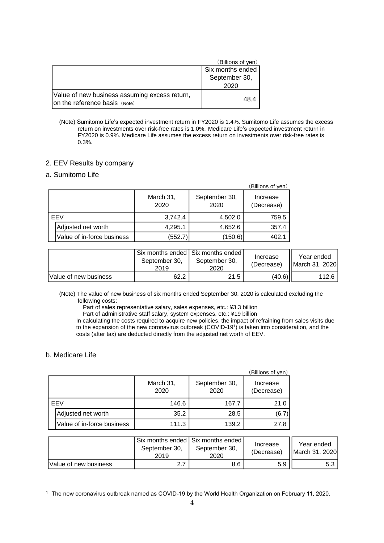|                                                                                | (Billions of yen) |
|--------------------------------------------------------------------------------|-------------------|
|                                                                                | Six months ended  |
|                                                                                | September 30,     |
|                                                                                | 2020              |
| Value of new business assuming excess return,<br>on the reference basis (Note) | 48.4              |

(Note) Sumitomo Life's expected investment return in FY2020 is 1.4%. Sumitomo Life assumes the excess return on investments over risk-free rates is 1.0%. Medicare Life's expected investment return in FY2020 is 0.9%. Medicare Life assumes the excess return on investments over risk-free rates is 0.3%.

#### 2. EEV Results by company

## a. Sumitomo Life

|     |                            |                   |                       | (Billions of yen)      |
|-----|----------------------------|-------------------|-----------------------|------------------------|
|     |                            | March 31,<br>2020 | September 30,<br>2020 | Increase<br>(Decrease) |
| EEV |                            | 3,742.4           | 4,502.0               | 759.5                  |
|     | Adjusted net worth         | 4,295.1           | 4,652.6               | 357.4                  |
|     | Value of in-force business | (552.7)           | (150.6)               | 402.1                  |

|                       | September 30.<br>2019 | Six months ended Six months ended<br>September 30,<br>2020 | Increase<br>(Decrease) | Year ended<br><b>II</b> March 31, 2020 |
|-----------------------|-----------------------|------------------------------------------------------------|------------------------|----------------------------------------|
| Value of new business | 62.2                  | 21.5                                                       | (40.6)                 | 112.6                                  |

(Note) The value of new business of six months ended September 30, 2020 is calculated excluding the following costs:

Part of sales representative salary, sales expenses, etc.: ¥3.3 billion

Part of administrative staff salary, system expenses, etc.: ¥19 billion

In calculating the costs required to acquire new policies, the impact of refraining from sales visits due to the expansion of the new coronavirus outbreak (COVID-19<sup>1</sup>) is taken into consideration, and the costs (after tax) are deducted directly from the adjusted net worth of EEV.

### b. Medicare Life

|     |                            |                   |                       | (Billions of yen)      |
|-----|----------------------------|-------------------|-----------------------|------------------------|
|     |                            | March 31,<br>2020 | September 30,<br>2020 | Increase<br>(Decrease) |
| EEV |                            | 146.6             | 167.7                 | 21.0                   |
|     | Adjusted net worth         | 35.2              | 28.5                  | (6.7)                  |
|     | Value of in-force business | 111.3             | 139.2                 | 27.8                   |

|                               | September 30,<br>2019 | Six months ended   Six months ended<br>September 30,<br>2020 | Increase<br>(Decrease) | Year ended<br>March 31, 2020 |
|-------------------------------|-----------------------|--------------------------------------------------------------|------------------------|------------------------------|
| <b>IValue of new business</b> |                       | 8.6                                                          | 5.9                    | 5.3                          |

 $1$  The new coronavirus outbreak named as COVID-19 by the World Health Organization on February 11, 2020.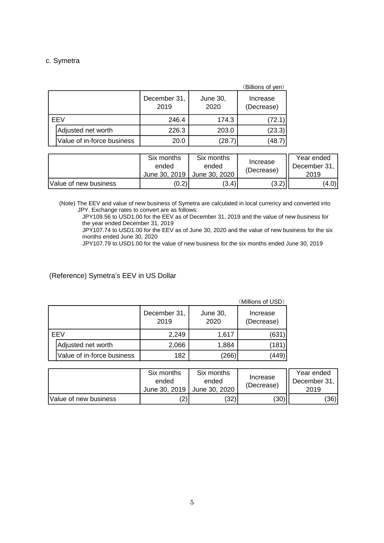# c. Symetra

|            |                            |                      |                  | (Billions of yen)      |
|------------|----------------------------|----------------------|------------------|------------------------|
|            |                            | December 31,<br>2019 | June 30,<br>2020 | Increase<br>(Decrease) |
| <b>FFV</b> |                            | 246.4                | 174.3            | (72.1)                 |
|            | Adjusted net worth         | 226.3                | 203.0            | (23.3)                 |
|            | Value of in-force business | 20.0                 | (28.7            | (48.7                  |

|                       | Six months<br>ended<br>June 30, 2019 | Six months<br>ended<br>June 30, 2020 | Increase<br>(Decrease) | Year ended<br>December 31.<br>2019 |
|-----------------------|--------------------------------------|--------------------------------------|------------------------|------------------------------------|
| Value of new business | (0.2)                                | (3.4)                                | (3.2)                  | (4.0)                              |

(Note) The EEV and value of new business of Symetra are calculated in local currency and converted into JPY. Exchange rates to convert are as follows:

JPY109.56 to USD1.00 for the EEV as of December 31, 2019 and the value of new business for the year ended December 31, 2019

JPY107.74 to USD1.00 for the EEV as of June 30, 2020 and the value of new business for the six months ended June 30, 2020

JPY107.79 to USD1.00 for the value of new business for the six months ended June 30, 2019

(Reference) Symetra's EEV in US Dollar

|     |                            |                      |                  | (Millions of USD)      |
|-----|----------------------------|----------------------|------------------|------------------------|
|     |                            | December 31,<br>2019 | June 30,<br>2020 | Increase<br>(Decrease) |
| EEV |                            | 2,249                | 1,617            | (631                   |
|     | Adjusted net worth         | 2,066                | 1,884            | (181                   |
|     | Value of in-force business | 182                  | (266)            | (449`                  |

|                       | Six months<br>ended<br>June 30, 2019 | Six months<br>ended<br>June 30, 2020 | Increase<br>(Decrease) | Year ended<br>December 31.<br>2019 |
|-----------------------|--------------------------------------|--------------------------------------|------------------------|------------------------------------|
| Value of new business | ▵                                    | (32)                                 | (30)                   | (36)                               |